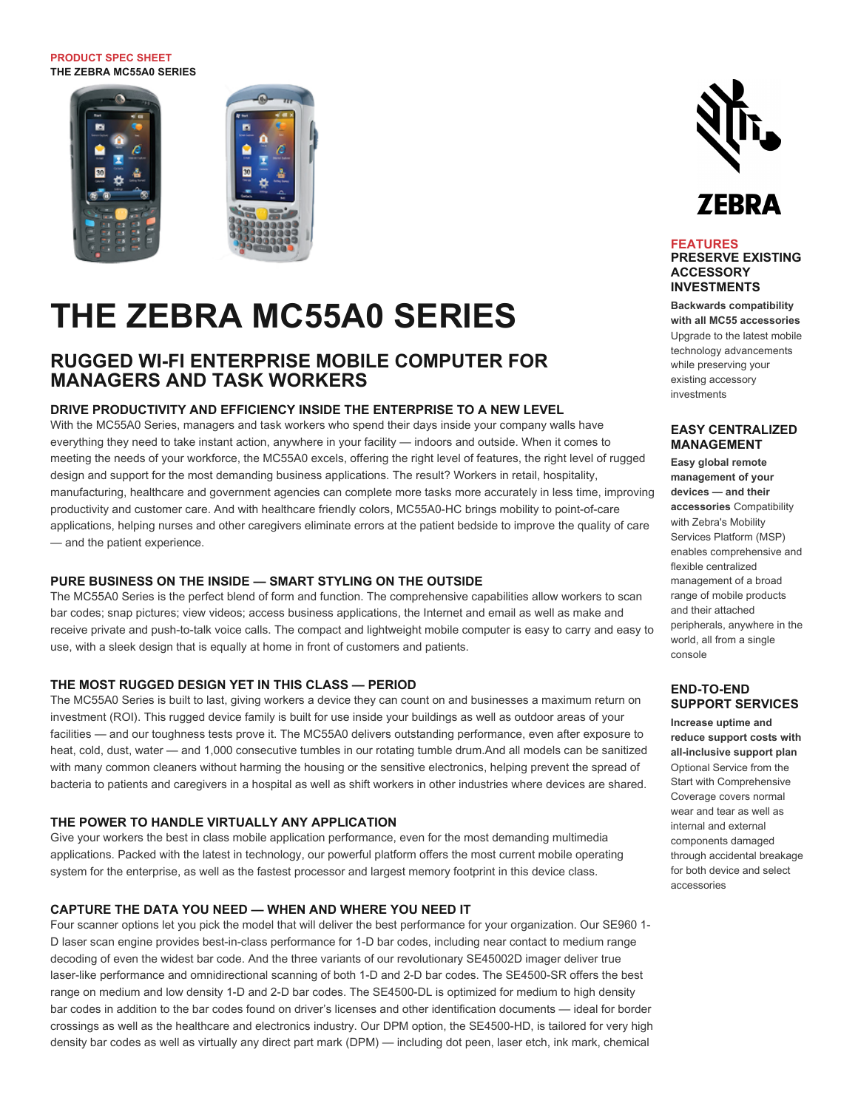#### **PRODUCT SPEC SHEET THE ZEBRA MC55A0 SERIES**



# **THE ZEBRA MC55A0 SERIES**

### **RUGGED WI-FI ENTERPRISE MOBILE COMPUTER FOR MANAGERS AND TASK WORKERS**

#### **DRIVE PRODUCTIVITY AND EFFICIENCY INSIDE THE ENTERPRISE TO A NEW LEVEL**

With the MC55A0 Series, managers and task workers who spend their days inside your company walls have everything they need to take instant action, anywhere in your facility — indoors and outside. When it comes to meeting the needs of your workforce, the MC55A0 excels, offering the right level of features, the right level of rugged design and support for the most demanding business applications. The result? Workers in retail, hospitality, manufacturing, healthcare and government agencies can complete more tasks more accurately in less time, improving productivity and customer care. And with healthcare friendly colors, MC55A0-HC brings mobility to point-of-care applications, helping nurses and other caregivers eliminate errors at the patient bedside to improve the quality of care — and the patient experience.

#### **PURE BUSINESS ON THE INSIDE — SMART STYLING ON THE OUTSIDE**

The MC55A0 Series is the perfect blend of form and function. The comprehensive capabilities allow workers to scan bar codes; snap pictures; view videos; access business applications, the Internet and email as well as make and receive private and push-to-talk voice calls. The compact and lightweight mobile computer is easy to carry and easy to use, with a sleek design that is equally at home in front of customers and patients.

#### **THE MOST RUGGED DESIGN YET IN THIS CLASS — PERIOD**

The MC55A0 Series is built to last, giving workers a device they can count on and businesses a maximum return on investment (ROI). This rugged device family is built for use inside your buildings as well as outdoor areas of your facilities — and our toughness tests prove it. The MC55A0 delivers outstanding performance, even after exposure to heat, cold, dust, water — and 1,000 consecutive tumbles in our rotating tumble drum.And all models can be sanitized with many common cleaners without harming the housing or the sensitive electronics, helping prevent the spread of bacteria to patients and caregivers in a hospital as well as shift workers in other industries where devices are shared.

#### **THE POWER TO HANDLE VIRTUALLY ANY APPLICATION**

Give your workers the best in class mobile application performance, even for the most demanding multimedia applications. Packed with the latest in technology, our powerful platform offers the most current mobile operating system for the enterprise, as well as the fastest processor and largest memory footprint in this device class.

#### **CAPTURE THE DATA YOU NEED — WHEN AND WHERE YOU NEED IT**

Four scanner options let you pick the model that will deliver the best performance for your organization. Our SE960 1- D laser scan engine provides best-in-class performance for 1-D bar codes, including near contact to medium range decoding of even the widest bar code. And the three variants of our revolutionary SE45002D imager deliver true laser-like performance and omnidirectional scanning of both 1-D and 2-D bar codes. The SE4500-SR offers the best range on medium and low density 1-D and 2-D bar codes. The SE4500-DL is optimized for medium to high density bar codes in addition to the bar codes found on driver's licenses and other identification documents — ideal for border crossings as well as the healthcare and electronics industry. Our DPM option, the SE4500-HD, is tailored for very high density bar codes as well as virtually any direct part mark (DPM) — including dot peen, laser etch, ink mark, chemical



#### **FEATURES PRESERVE EXISTING ACCESSORY INVESTMENTS**

**Backwards compatibility with all MC55 accessories** Upgrade to the latest mobile technology advancements while preserving your existing accessory investments

#### **EASY CENTRALIZED MANAGEMENT**

**Easy global remote management of your devices — and their accessories** Compatibility with Zebra's Mobility Services Platform (MSP) enables comprehensive and flexible centralized management of a broad range of mobile products and their attached peripherals, anywhere in the world, all from a single console

#### **END-TO-END SUPPORT SERVICES**

**Increase uptime and reduce support costs with all-inclusive support plan** Optional Service from the Start with Comprehensive Coverage covers normal wear and tear as well as internal and external components damaged through accidental breakage for both device and select accessories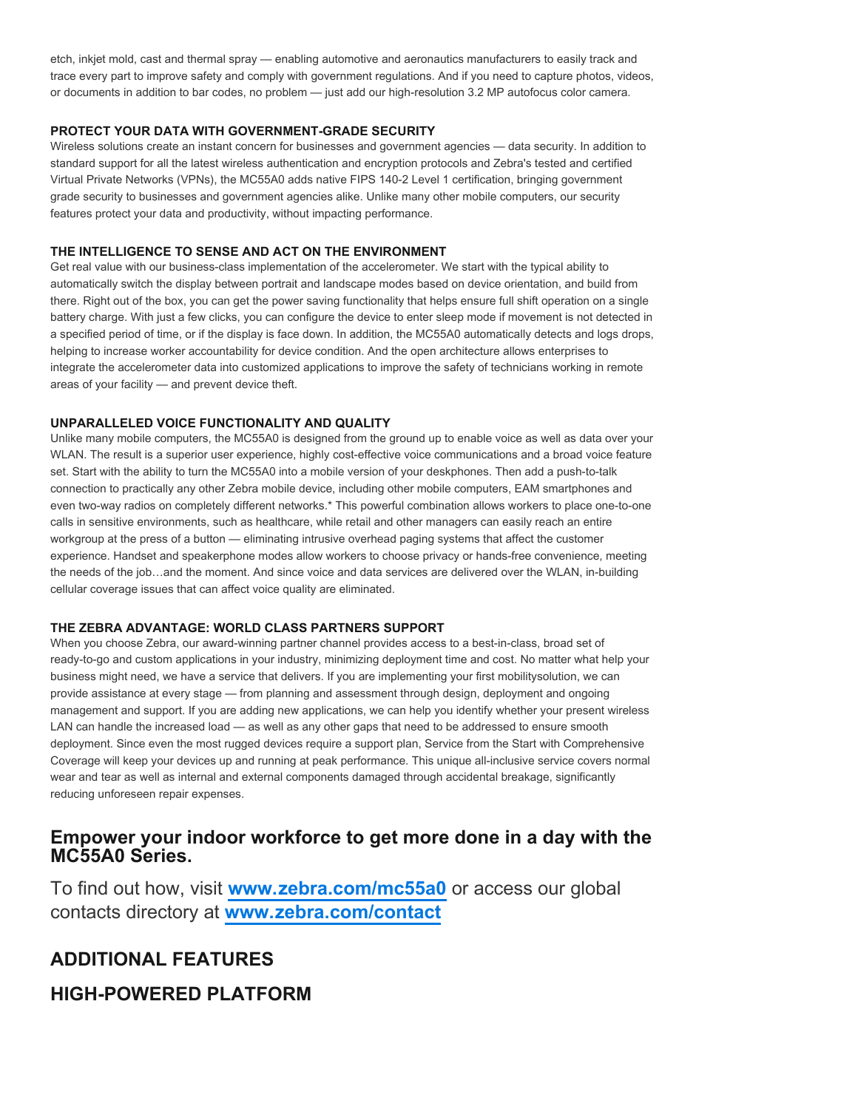etch, inkjet mold, cast and thermal spray — enabling automotive and aeronautics manufacturers to easily track and trace every part to improve safety and comply with government regulations. And if you need to capture photos, videos, or documents in addition to bar codes, no problem — just add our high-resolution 3.2 MP autofocus color camera.

#### **PROTECT YOUR DATA WITH GOVERNMENT-GRADE SECURITY**

Wireless solutions create an instant concern for businesses and government agencies — data security. In addition to standard support for all the latest wireless authentication and encryption protocols and Zebra's tested and certified Virtual Private Networks (VPNs), the MC55A0 adds native FIPS 140-2 Level 1 certification, bringing government grade security to businesses and government agencies alike. Unlike many other mobile computers, our security features protect your data and productivity, without impacting performance.

#### **THE INTELLIGENCE TO SENSE AND ACT ON THE ENVIRONMENT**

Get real value with our business-class implementation of the accelerometer. We start with the typical ability to automatically switch the display between portrait and landscape modes based on device orientation, and build from there. Right out of the box, you can get the power saving functionality that helps ensure full shift operation on a single battery charge. With just a few clicks, you can configure the device to enter sleep mode if movement is not detected in a specified period of time, or if the display is face down. In addition, the MC55A0 automatically detects and logs drops, helping to increase worker accountability for device condition. And the open architecture allows enterprises to integrate the accelerometer data into customized applications to improve the safety of technicians working in remote areas of your facility — and prevent device theft.

#### **UNPARALLELED VOICE FUNCTIONALITY AND QUALITY**

Unlike many mobile computers, the MC55A0 is designed from the ground up to enable voice as well as data over your WLAN. The result is a superior user experience, highly cost-effective voice communications and a broad voice feature set. Start with the ability to turn the MC55A0 into a mobile version of your deskphones. Then add a push-to-talk connection to practically any other Zebra mobile device, including other mobile computers, EAM smartphones and even two-way radios on completely different networks.\* This powerful combination allows workers to place one-to-one calls in sensitive environments, such as healthcare, while retail and other managers can easily reach an entire workgroup at the press of a button — eliminating intrusive overhead paging systems that affect the customer experience. Handset and speakerphone modes allow workers to choose privacy or hands-free convenience, meeting the needs of the job…and the moment. And since voice and data services are delivered over the WLAN, in-building cellular coverage issues that can affect voice quality are eliminated.

#### **THE ZEBRA ADVANTAGE: WORLD CLASS PARTNERS SUPPORT**

When you choose Zebra, our award-winning partner channel provides access to a best-in-class, broad set of ready-to-go and custom applications in your industry, minimizing deployment time and cost. No matter what help your business might need, we have a service that delivers. If you are implementing your first mobilitysolution, we can provide assistance at every stage — from planning and assessment through design, deployment and ongoing management and support. If you are adding new applications, we can help you identify whether your present wireless LAN can handle the increased load — as well as any other gaps that need to be addressed to ensure smooth deployment. Since even the most rugged devices require a support plan, Service from the Start with Comprehensive Coverage will keep your devices up and running at peak performance. This unique all-inclusive service covers normal wear and tear as well as internal and external components damaged through accidental breakage, significantly reducing unforeseen repair expenses.

### **Empower your indoor workforce to get more done in a day with the MC55A0 Series.**

To find out how, visit **[www.zebra.com/mc55a0](http://www.zebra.com/mc55a0)** or access our global contacts directory at **[www.zebra.com/contact](http://www.zebra.com/contact)**

### **ADDITIONAL FEATURES**

### **HIGH-POWERED PLATFORM**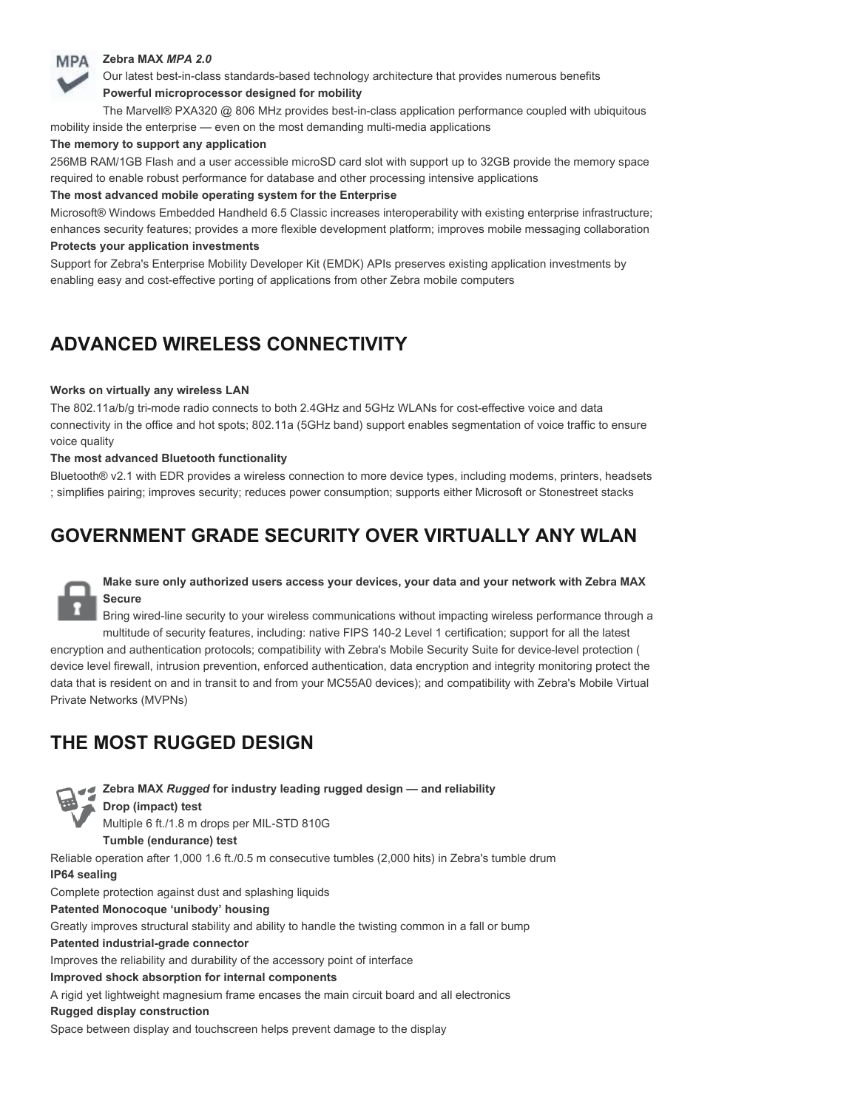#### **Zebra MAX** *MPA 2.0* **MPA**

Our latest best-in-class standards-based technology architecture that provides numerous benefits **Powerful microprocessor designed for mobility**

The Marvell® PXA320 @ 806 MHz provides best-in-class application performance coupled with ubiquitous mobility inside the enterprise — even on the most demanding multi-media applications

#### **The memory to support any application**

256MB RAM/1GB Flash and a user accessible microSD card slot with support up to 32GB provide the memory space required to enable robust performance for database and other processing intensive applications

#### **The most advanced mobile operating system for the Enterprise**

Microsoft® Windows Embedded Handheld 6.5 Classic increases interoperability with existing enterprise infrastructure; enhances security features; provides a more flexible development platform; improves mobile messaging collaboration **Protects your application investments**

Support for Zebra's Enterprise Mobility Developer Kit (EMDK) APIs preserves existing application investments by enabling easy and cost-effective porting of applications from other Zebra mobile computers

# **ADVANCED WIRELESS CONNECTIVITY**

#### **Works on virtually any wireless LAN**

The 802.11a/b/g tri-mode radio connects to both 2.4GHz and 5GHz WLANs for cost-effective voice and data connectivity in the office and hot spots; 802.11a (5GHz band) support enables segmentation of voice traffic to ensure voice quality

#### **The most advanced Bluetooth functionality**

Bluetooth® v2.1 with EDR provides a wireless connection to more device types, including modems, printers, headsets ; simplifies pairing; improves security; reduces power consumption; supports either Microsoft or Stonestreet stacks

### **GOVERNMENT GRADE SECURITY OVER VIRTUALLY ANY WLAN**



Bring wired-line security to your wireless communications without impacting wireless performance through a multitude of security features, including: native FIPS 140-2 Level 1 certification; support for all the latest encryption and authentication protocols; compatibility with Zebra's Mobile Security Suite for device-level protection ( device level firewall, intrusion prevention, enforced authentication, data encryption and integrity monitoring protect the data that is resident on and in transit to and from your MC55A0 devices); and compatibility with Zebra's Mobile Virtual Private Networks (MVPNs)

# **THE MOST RUGGED DESIGN**

**Zebra MAX** *Rugged* **for industry leading rugged design — and reliability Drop (impact) test** Multiple 6 ft./1.8 m drops per MIL-STD 810G **Tumble (endurance) test** Reliable operation after 1,000 1.6 ft./0.5 m consecutive tumbles (2,000 hits) in Zebra's tumble drum **IP64 sealing** Complete protection against dust and splashing liquids **Patented Monocoque 'unibody' housing** Greatly improves structural stability and ability to handle the twisting common in a fall or bump **Patented industrial-grade connector** Improves the reliability and durability of the accessory point of interface **Improved shock absorption for internal components** A rigid yet lightweight magnesium frame encases the main circuit board and all electronics **Rugged display construction**

Space between display and touchscreen helps prevent damage to the display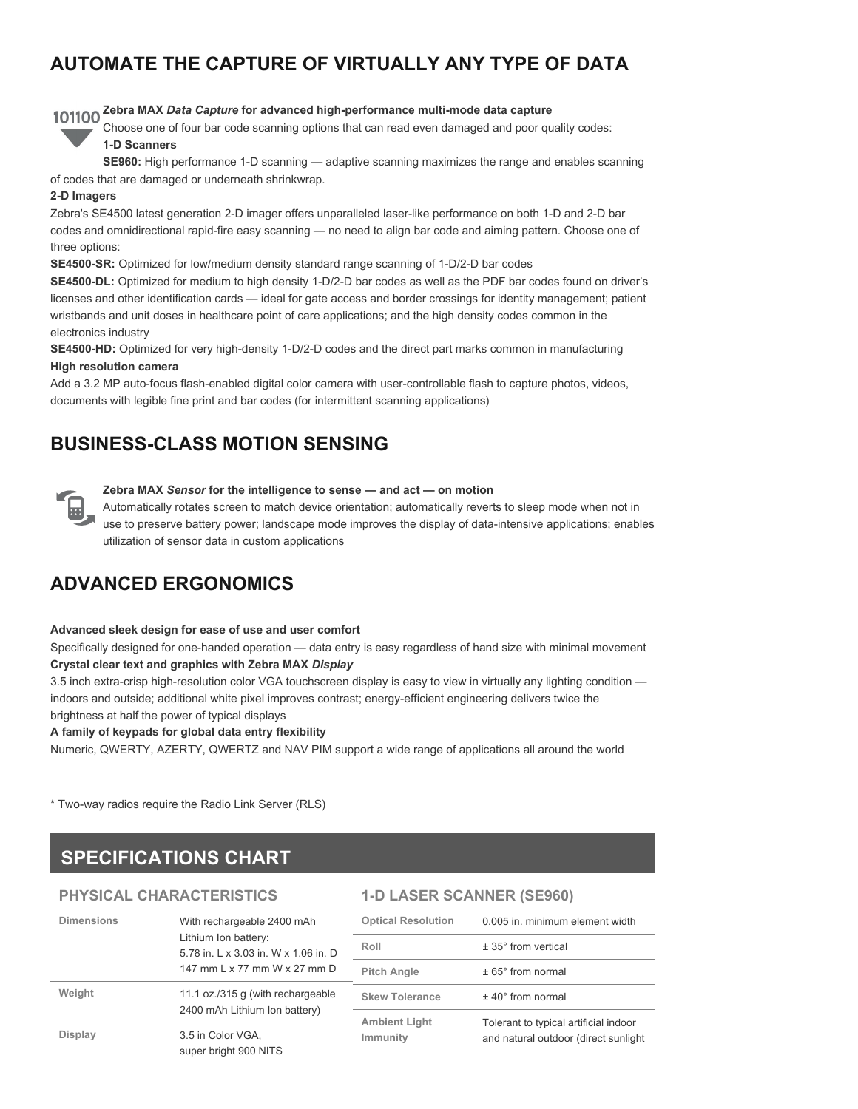# **AUTOMATE THE CAPTURE OF VIRTUALLY ANY TYPE OF DATA**

# **Zebra MAX** *Data Capture* **for advanced high-performance multi-mode data capture**

Choose one of four bar code scanning options that can read even damaged and poor quality codes:

### **1-D Scanners**

**SE960:** High performance 1-D scanning — adaptive scanning maximizes the range and enables scanning

of codes that are damaged or underneath shrinkwrap.

#### **2-D Imagers**

Zebra's SE4500 latest generation 2-D imager offers unparalleled laser-like performance on both 1-D and 2-D bar codes and omnidirectional rapid-fire easy scanning — no need to align bar code and aiming pattern. Choose one of three options:

**SE4500-SR:** Optimized for low/medium density standard range scanning of 1-D/2-D bar codes

**SE4500-DL:** Optimized for medium to high density 1-D/2-D bar codes as well as the PDF bar codes found on driver's licenses and other identification cards — ideal for gate access and border crossings for identity management; patient wristbands and unit doses in healthcare point of care applications; and the high density codes common in the electronics industry

**SE4500-HD:** Optimized for very high-density 1-D/2-D codes and the direct part marks common in manufacturing

#### **High resolution camera**

Add a 3.2 MP auto-focus flash-enabled digital color camera with user-controllable flash to capture photos, videos, documents with legible fine print and bar codes (for intermittent scanning applications)

### **BUSINESS-CLASS MOTION SENSING**



#### **Zebra MAX** *Sensor* **for the intelligence to sense — and act — on motion**

Automatically rotates screen to match device orientation; automatically reverts to sleep mode when not in use to preserve battery power; landscape mode improves the display of data-intensive applications; enables utilization of sensor data in custom applications

# **ADVANCED ERGONOMICS**

#### **Advanced sleek design for ease of use and user comfort**

Specifically designed for one-handed operation — data entry is easy regardless of hand size with minimal movement **Crystal clear text and graphics with Zebra MAX** *Display*

3.5 inch extra-crisp high-resolution color VGA touchscreen display is easy to view in virtually any lighting condition indoors and outside; additional white pixel improves contrast; energy-efficient engineering delivers twice the brightness at half the power of typical displays

#### **A family of keypads for global data entry flexibility**

Numeric, QWERTY, AZERTY, QWERTZ and NAV PIM support a wide range of applications all around the world

\* Two-way radios require the Radio Link Server (RLS)

# **SPECIFICATIONS CHART**

| PHYSICAL CHARACTERISTICS |                                                                                                                            | <b>1-D LASER SCANNER (SE960)</b> |                                                                               |
|--------------------------|----------------------------------------------------------------------------------------------------------------------------|----------------------------------|-------------------------------------------------------------------------------|
| <b>Dimensions</b>        | With rechargeable 2400 mAh<br>Lithium Ion battery:<br>5.78 in. L x 3.03 in. W x 1.06 in. D<br>147 mm L x 77 mm W x 27 mm D | <b>Optical Resolution</b>        | 0.005 in. minimum element width                                               |
|                          |                                                                                                                            | Roll                             | $± 35^\circ$ from vertical                                                    |
|                          |                                                                                                                            | <b>Pitch Angle</b>               | $± 65°$ from normal                                                           |
| Weight                   | 11.1 oz./315 g (with rechargeable<br>2400 mAh Lithium Ion battery)                                                         | <b>Skew Tolerance</b>            | $±$ 40 $^{\circ}$ from normal                                                 |
|                          |                                                                                                                            | <b>Ambient Light</b><br>Immunity | Tolerant to typical artificial indoor<br>and natural outdoor (direct sunlight |
| <b>Display</b>           | 3.5 in Color VGA,<br>super bright 900 NITS                                                                                 |                                  |                                                                               |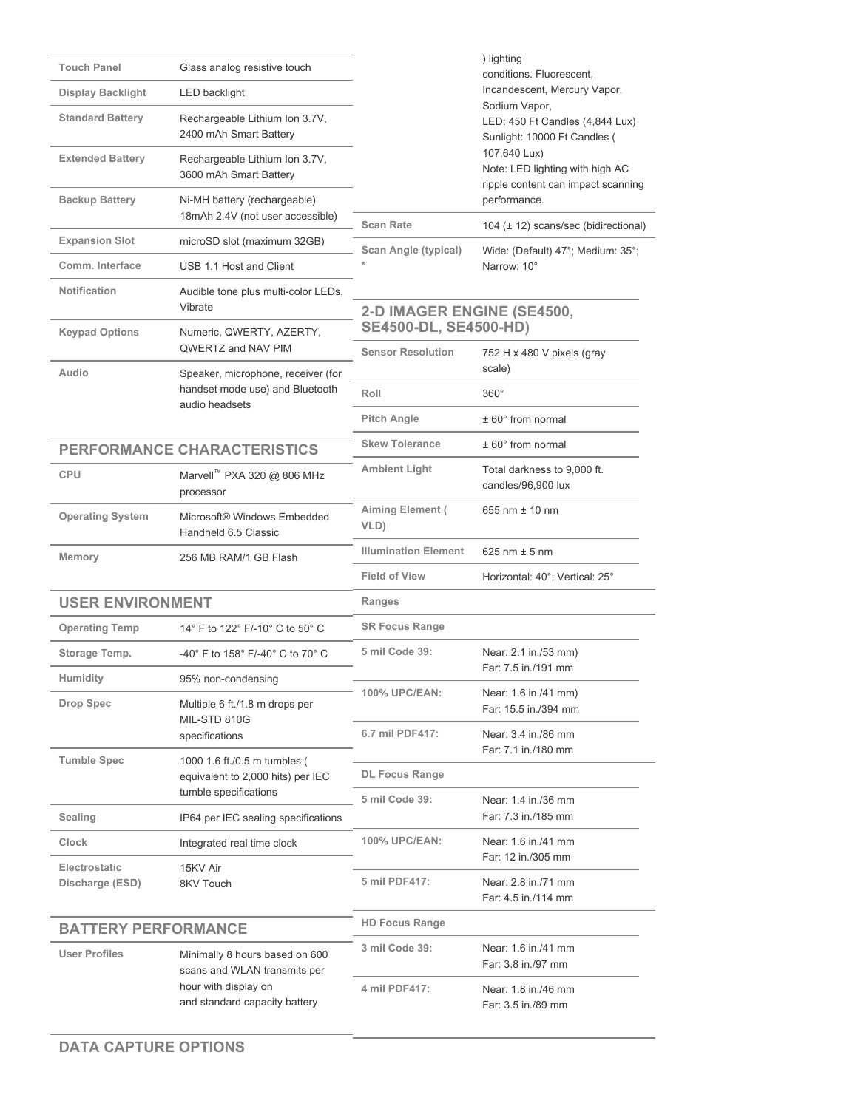| <b>Touch Panel</b><br><b>Display Backlight</b> | Glass analog resistive touch<br>LED backlight                                                                           |                                                          | ) lighting<br>conditions. Fluorescent,<br>Incandescent, Mercury Vapor,                |
|------------------------------------------------|-------------------------------------------------------------------------------------------------------------------------|----------------------------------------------------------|---------------------------------------------------------------------------------------|
| <b>Standard Battery</b>                        | Rechargeable Lithium Ion 3.7V,<br>2400 mAh Smart Battery                                                                |                                                          | Sodium Vapor,<br>LED: 450 Ft Candles (4,844 Lux)<br>Sunlight: 10000 Ft Candles (      |
| <b>Extended Battery</b>                        | Rechargeable Lithium Ion 3.7V,<br>3600 mAh Smart Battery                                                                |                                                          | 107,640 Lux)<br>Note: LED lighting with high AC<br>ripple content can impact scanning |
| <b>Backup Battery</b>                          | Ni-MH battery (rechargeable)<br>18mAh 2.4V (not user accessible)                                                        | <b>Scan Rate</b>                                         | performance.                                                                          |
| <b>Expansion Slot</b>                          | microSD slot (maximum 32GB)                                                                                             | Scan Angle (typical)                                     | 104 (± 12) scans/sec (bidirectional)<br>Wide: (Default) 47°; Medium: 35°;             |
| Comm. Interface                                | USB 1.1 Host and Client                                                                                                 |                                                          | Narrow: 10°                                                                           |
| <b>Notification</b>                            | Audible tone plus multi-color LEDs,<br>Vibrate                                                                          | 2-D IMAGER ENGINE (SE4500,                               |                                                                                       |
| <b>Keypad Options</b>                          | Numeric, QWERTY, AZERTY,<br>QWERTZ and NAV PIM                                                                          | <b>SE4500-DL, SE4500-HD)</b><br><b>Sensor Resolution</b> | 752 H x 480 V pixels (gray                                                            |
| Audio                                          | Speaker, microphone, receiver (for                                                                                      |                                                          | scale)                                                                                |
|                                                | handset mode use) and Bluetooth<br>audio headsets                                                                       | Roll                                                     | $360^\circ$                                                                           |
|                                                |                                                                                                                         | <b>Pitch Angle</b>                                       | $± 60°$ from normal                                                                   |
|                                                | <b>PERFORMANCE CHARACTERISTICS</b>                                                                                      | <b>Skew Tolerance</b>                                    | $± 60°$ from normal                                                                   |
| <b>CPU</b>                                     | Marvell™ PXA 320 @ 806 MHz<br>processor                                                                                 | <b>Ambient Light</b>                                     | Total darkness to 9,000 ft.<br>candles/96,900 lux                                     |
| <b>Operating System</b>                        | Microsoft® Windows Embedded<br>Handheld 6.5 Classic                                                                     | Aiming Element (<br>VLD)                                 | 655 nm $±$ 10 nm                                                                      |
| Memory                                         | 256 MB RAM/1 GB Flash                                                                                                   | <b>Illumination Element</b>                              | 625 nm $\pm$ 5 nm                                                                     |
|                                                |                                                                                                                         | <b>Field of View</b>                                     | Horizontal: 40°; Vertical: 25°                                                        |
| <b>USER ENVIRONMENT</b>                        |                                                                                                                         | Ranges                                                   |                                                                                       |
| <b>Operating Temp</b>                          | 14° F to 122° F/-10° C to 50° C                                                                                         | <b>SR Focus Range</b>                                    |                                                                                       |
| Storage Temp.<br>Humidity                      | -40° F to 158° F/-40° C to 70° C                                                                                        | 5 mil Code 39:                                           | Near: 2.1 in./53 mm)<br>Far: 7.5 in./191 mm                                           |
| Drop Spec                                      | 95% non-condensing<br>Multiple 6 ft./1.8 m drops per                                                                    | <b>100% UPC/EAN:</b>                                     | Near: 1.6 in./41 mm)<br>Far: 15.5 in./394 mm                                          |
|                                                | MIL-STD 810G<br>specifications                                                                                          | 6.7 mil PDF417:                                          | Near: 3.4 in./86 mm<br>Far: 7.1 in./180 mm                                            |
| <b>Tumble Spec</b>                             | 1000 1.6 ft./0.5 m tumbles (<br>equivalent to 2,000 hits) per IEC                                                       | <b>DL Focus Range</b>                                    |                                                                                       |
| Sealing                                        | tumble specifications<br>IP64 per IEC sealing specifications                                                            | 5 mil Code 39:                                           | Near: 1.4 in./36 mm<br>Far: 7.3 in./185 mm                                            |
| Clock                                          | Integrated real time clock                                                                                              | 100% UPC/EAN:                                            | Near: 1.6 in./41 mm                                                                   |
| Electrostatic                                  | 15KV Air                                                                                                                |                                                          | Far: 12 in./305 mm                                                                    |
| Discharge (ESD)                                | 8KV Touch                                                                                                               | 5 mil PDF417:                                            | Near: 2.8 in./71 mm<br>Far: 4.5 in./114 mm                                            |
| <b>BATTERY PERFORMANCE</b>                     |                                                                                                                         | <b>HD Focus Range</b>                                    |                                                                                       |
| <b>User Profiles</b>                           | Minimally 8 hours based on 600<br>scans and WLAN transmits per<br>hour with display on<br>and standard capacity battery | 3 mil Code 39:                                           | Near: 1.6 in./41 mm<br>Far: 3.8 in./97 mm                                             |
|                                                |                                                                                                                         | 4 mil PDF417:                                            | Near: 1.8 in./46 mm<br>Far: 3.5 in./89 mm                                             |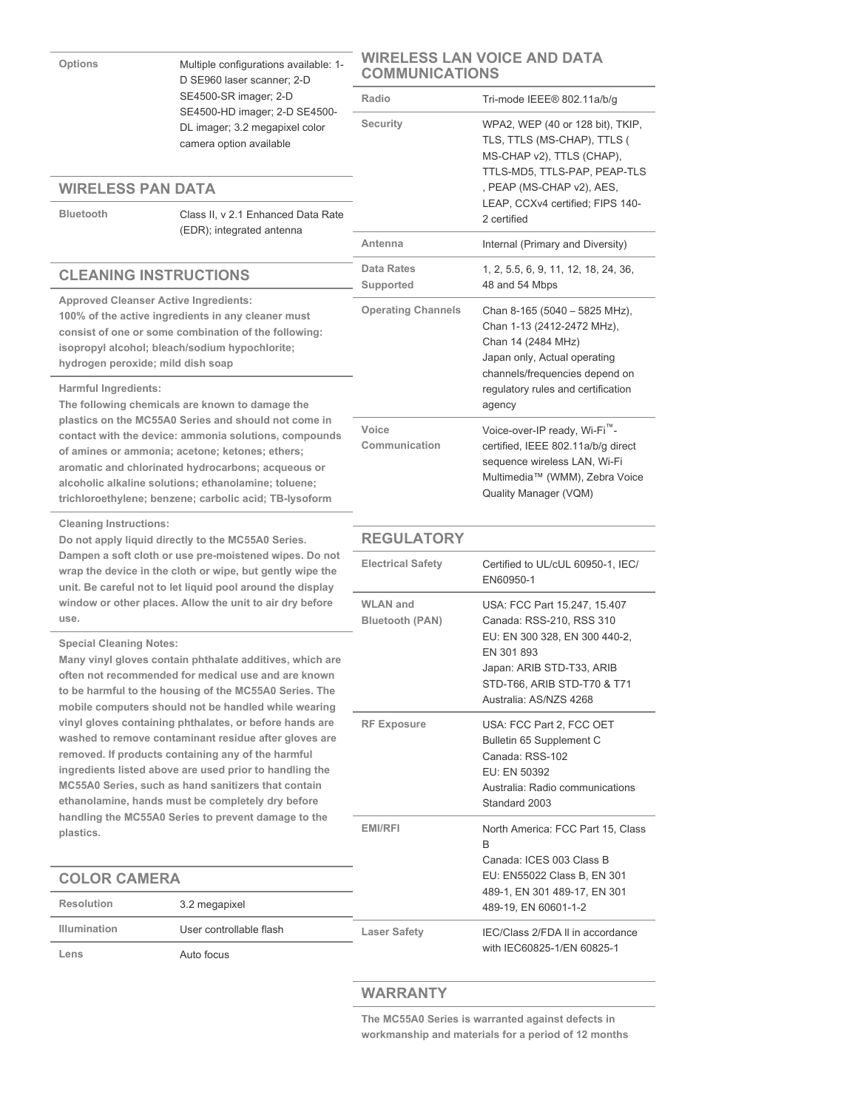| <b>Options</b><br>Multiple configurations available: 1-<br>D SE960 laser scanner; 2-D                                                                                                                                                                                                                                                    |                                                                                                                                                                                                                                                                                                                                                                                                       | WIRELESS LAN VOICE AND DATA<br><b>COMMUNICATIONS</b> |                                                                                                                                                                                               |
|------------------------------------------------------------------------------------------------------------------------------------------------------------------------------------------------------------------------------------------------------------------------------------------------------------------------------------------|-------------------------------------------------------------------------------------------------------------------------------------------------------------------------------------------------------------------------------------------------------------------------------------------------------------------------------------------------------------------------------------------------------|------------------------------------------------------|-----------------------------------------------------------------------------------------------------------------------------------------------------------------------------------------------|
|                                                                                                                                                                                                                                                                                                                                          | SE4500-SR imager; 2-D                                                                                                                                                                                                                                                                                                                                                                                 | Radio                                                | Tri-mode IEEE® 802.11a/b/g                                                                                                                                                                    |
| <b>Bluetooth</b>                                                                                                                                                                                                                                                                                                                         | SE4500-HD imager; 2-D SE4500-<br>DL imager; 3.2 megapixel color<br>camera option available<br><b>WIRELESS PAN DATA</b><br>Class II, v 2.1 Enhanced Data Rate                                                                                                                                                                                                                                          |                                                      | WPA2, WEP (40 or 128 bit), TKIP,<br>TLS, TTLS (MS-CHAP), TTLS (<br>MS-CHAP v2), TTLS (CHAP),<br>TTLS-MD5, TTLS-PAP, PEAP-TLS<br>, PEAP (MS-CHAP v2), AES,<br>LEAP, CCXv4 certified; FIPS 140- |
|                                                                                                                                                                                                                                                                                                                                          | (EDR); integrated antenna                                                                                                                                                                                                                                                                                                                                                                             | Antenna                                              | 2 certified                                                                                                                                                                                   |
|                                                                                                                                                                                                                                                                                                                                          |                                                                                                                                                                                                                                                                                                                                                                                                       | <b>Data Rates</b>                                    | Internal (Primary and Diversity)                                                                                                                                                              |
| <b>CLEANING INSTRUCTIONS</b>                                                                                                                                                                                                                                                                                                             |                                                                                                                                                                                                                                                                                                                                                                                                       | Supported                                            | 1, 2, 5.5, 6, 9, 11, 12, 18, 24, 36,<br>48 and 54 Mbps                                                                                                                                        |
| <b>Approved Cleanser Active Ingredients:</b><br>100% of the active ingredients in any cleaner must<br>consist of one or some combination of the following:<br>isopropyl alcohol; bleach/sodium hypochlorite;<br>hydrogen peroxide; mild dish soap                                                                                        |                                                                                                                                                                                                                                                                                                                                                                                                       | <b>Operating Channels</b>                            | Chan 8-165 (5040 - 5825 MHz),<br>Chan 1-13 (2412-2472 MHz),<br>Chan 14 (2484 MHz)<br>Japan only, Actual operating<br>channels/frequencies depend on                                           |
| Harmful Ingredients:                                                                                                                                                                                                                                                                                                                     | The following chemicals are known to damage the                                                                                                                                                                                                                                                                                                                                                       |                                                      | regulatory rules and certification<br>agency                                                                                                                                                  |
| plastics on the MC55A0 Series and should not come in<br>contact with the device: ammonia solutions, compounds<br>of amines or ammonia; acetone; ketones; ethers;<br>aromatic and chlorinated hydrocarbons; acqueous or<br>alcoholic alkaline solutions; ethanolamine; toluene;<br>trichloroethylene; benzene; carbolic acid; TB-lysoform |                                                                                                                                                                                                                                                                                                                                                                                                       | Voice<br>Communication                               | Voice-over-IP ready, Wi-Fi <sup>""</sup> -<br>certified, IEEE 802.11a/b/g direct<br>sequence wireless LAN, Wi-Fi<br>Multimedia™ (WMM), Zebra Voice<br>Quality Manager (VQM)                   |
| <b>Cleaning Instructions:</b><br>Do not apply liquid directly to the MC55A0 Series.<br>Dampen a soft cloth or use pre-moistened wipes. Do not<br>wrap the device in the cloth or wipe, but gently wipe the<br>unit. Be careful not to let liquid pool around the display                                                                 |                                                                                                                                                                                                                                                                                                                                                                                                       | <b>REGULATORY</b>                                    |                                                                                                                                                                                               |
|                                                                                                                                                                                                                                                                                                                                          |                                                                                                                                                                                                                                                                                                                                                                                                       |                                                      |                                                                                                                                                                                               |
|                                                                                                                                                                                                                                                                                                                                          |                                                                                                                                                                                                                                                                                                                                                                                                       | <b>Electrical Safety</b>                             | Certified to UL/cUL 60950-1, IEC/<br>EN60950-1                                                                                                                                                |
| use.<br><b>Special Cleaning Notes:</b>                                                                                                                                                                                                                                                                                                   | window or other places. Allow the unit to air dry before<br>Many vinyl gloves contain phthalate additives, which are<br>often not recommended for medical use and are known<br>to be harmful to the housing of the MC55A0 Series. The                                                                                                                                                                 | <b>WLAN</b> and<br><b>Bluetooth (PAN)</b>            | USA: FCC Part 15.247, 15.407<br>Canada: RSS-210, RSS 310<br>EU: EN 300 328, EN 300 440-2,<br>EN 301 893<br>Japan: ARIB STD-T33, ARIB<br>STD-T66, ARIB STD-T70 & T71<br>Australia: AS/NZS 4268 |
|                                                                                                                                                                                                                                                                                                                                          | mobile computers should not be handled while wearing<br>vinyl gloves containing phthalates, or before hands are<br>washed to remove contaminant residue after gloves are<br>removed. If products containing any of the harmful<br>ingredients listed above are used prior to handling the<br>MC55A0 Series, such as hand sanitizers that contain<br>ethanolamine, hands must be completely dry before | <b>RF Exposure</b>                                   | USA: FCC Part 2, FCC OET<br>Bulletin 65 Supplement C<br>Canada: RSS-102<br>EU: EN 50392<br>Australia: Radio communications<br>Standard 2003                                                   |
| plastics.                                                                                                                                                                                                                                                                                                                                | handling the MC55A0 Series to prevent damage to the                                                                                                                                                                                                                                                                                                                                                   | EMI/RFI                                              | North America: FCC Part 15, Class<br>B                                                                                                                                                        |
|                                                                                                                                                                                                                                                                                                                                          |                                                                                                                                                                                                                                                                                                                                                                                                       |                                                      | Canada: ICES 003 Class B<br>EU: EN55022 Class B, EN 301                                                                                                                                       |
| <b>COLOR CAMERA</b><br><b>Resolution</b>                                                                                                                                                                                                                                                                                                 | 3.2 megapixel                                                                                                                                                                                                                                                                                                                                                                                         |                                                      | 489-1, EN 301 489-17, EN 301                                                                                                                                                                  |
| <b>Illumination</b>                                                                                                                                                                                                                                                                                                                      | User controllable flash                                                                                                                                                                                                                                                                                                                                                                               | <b>Laser Safety</b>                                  | 489-19, EN 60601-1-2<br>IEC/Class 2/FDA II in accordance                                                                                                                                      |
| Lens                                                                                                                                                                                                                                                                                                                                     | Auto focus                                                                                                                                                                                                                                                                                                                                                                                            |                                                      | with IEC60825-1/EN 60825-1                                                                                                                                                                    |

**The MC55A0 Series is warranted against defects in workmanship and materials for a period of 12 months** 

**WIRELESS LAN VOICE AND DATA**